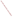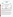### **THE ENVIRONMENTAL TECHNOLOGY VERIFICATION**







# **ETV Joint Verification Statement**

| <b>TECHNOLOGY TYPE:</b>              | <b>MULTI-PARAMETER WATER QUALITY PROBE</b>  |             |                                       |  |  |
|--------------------------------------|---------------------------------------------|-------------|---------------------------------------|--|--|
| <b>APPLICATION:</b>                  | <b>MEASURING WATER QUALITY</b>              |             |                                       |  |  |
| <b>TECHNOLOGY NAME:</b>              | <b>RCM Mk II with Optode 3830</b>           |             |                                       |  |  |
| <b>COMPANY:</b>                      | <b>AANDERAA Instruments, Inc.</b>           |             |                                       |  |  |
| <b>ADDRESS:</b>                      | Nesttunbrekken 97<br>5221 Nesttun, Norway   | <b>FAX:</b> | PHONE: +47 55 109900<br>$+4755109910$ |  |  |
| <b>WEB SITE:</b><br>$E\text{-}MAIL:$ | http://www.aanderaa.com<br>info@aanderaa.no |             |                                       |  |  |

The U.S. Environmental Protection Agency (EPA) supports the Environmental Technology Verification (ETV) Program to facilitate the deployment of innovative or improved environmental technologies through performance verification and dissemination of information. The goal of the ETV Program is to further environmental protection by accelerating the acceptance and use of improved and cost-effective technologies. ETV seeks to achieve this goal by providing high-quality, peer-reviewed data on technology performance to those involved in the design, distribution, financing, permitting, purchase, and use of environmental technologies. Information and ETV documents are available at www.epa.gov/etv.

ETV works in partnership with recognized standards and testing organizations, with stakeholder groups (consisting of buyers, vendor organizations, and permitters), and with individual technology developers. The program evaluates the performance of innovative technologies by developing test plans that are responsive to the needs of stakeholders, conducting field or laboratory tests (as appropriate), collecting and analyzing data, and preparing peer-reviewed reports. All evaluations are conducted in accordance with rigorous quality assurance (QA) protocols to ensure that data of known and adequate quality are generated and that the results are defensible.

The Advanced Monitoring Systems (AMS) Center, one of seven technology areas under ETV, is operated by Battelle in cooperation with EPA's National Exposure Research Laboratory. The AMS Center has recently evaluated the performance of multi-parameter water quality probes. This verification statement provides a summary of the test results for the AANDERAA Instruments, Inc. RCM Mk II with Optode 3830.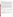#### **VERIFICATION TEST DESCRIPTION**

The Mk II with Optode 3830 was evaluated by determining calibration check accuracy and by comparing Mk II with Optode 3830 measurements with standard reference measurements and measurements from handheld calibrated probes. Two Mk II with Optode 3830s were deployed in saltwater, freshwater, and laboratory environments near Charleston, South Carolina, during a 3 ½-month verification test. The saltwater site was in a tributary of Charleston Harbor, the freshwater site was a wetlands on the campus of the National Oceanic and Atmospheric Administration Center for Coastal Environmental Health and Biomolecular Research (CCEHBR), and the laboratory site was the CCEHBR mesocosm facility. Water quality parameters were measured both by the Mk II with Optode 3830s and by reference methods consisting of collocated field-portable instrumentation and analyses of collected water samples. During each phase, performance was assessed in terms of calibration check accuracy, relative bias, precision, linearity, and inter-unit reproducibility. Test parameters included dissolved oxygen (DO), temperature, and turbidity.

The saltwater phase lasted for 28 days, during which time the Mk II with Optode 3830 monitored the naturally occurring range of the target parameters, collecting data every 10 minutes, 24 hours a day. For the duration of the test, the Mk II with Optode 3830 was deployed at depths between approximately one and 10 feet, varying according to the tide. Samples were collected at intervals throughout the test. Freshwater testing was conducted at the wetlands on the CCEHBR campus. Because the salinity and stratification of the wetlands increased during this portion of the deployment, an extended freshwater period was added to the end of the mesocosm deployment to provide data from a freshwater deployment. For the mesocosm phase, the mesocosm tanks were filled with saltwater/freshwater and drained daily, simulating a tide. Water samples were collected during each test day throughout the normal operating hours of the facility (nominally 6 a.m. to 6 p.m.). During this phase, the mesocosm was manipulated to introduce variations in the measured parameters. The turbidity of the system was varied by operating a pump near the sediment trays to suspend additional solids in the water. Variations in temperature were driven by natural forces. The table below provides a summary of the water conditions at the test sites.

|                  | <b>Saltwater</b>                         |                  |                    | Freshwater          | Mesocosm           |                     |
|------------------|------------------------------------------|------------------|--------------------|---------------------|--------------------|---------------------|
| <b>Parameter</b> | Low                                      | High             | Low                | High                | Low                | High                |
| D <sub>O</sub>   | 3 milligrams/liter<br>(mg/L)             | $6 \text{ mg/L}$ | $6.8 \text{ mg/L}$ | $11.2 \text{ mg/L}$ | $9.3 \text{ mg/L}$ | $12.1 \text{ mg/L}$ |
| Temperature      | $20^{\circ}$ C                           | $28^{\circ}C$    | $11^{\circ}$ C     | $27^{\circ}$ C      | $9^{\circ}$ C      | $16^{\circ}$ C      |
| Turbidity        | 8 nephelometric<br>turbidity units (NTU) | <b>37 NTU</b>    | <b>1.7 NTU</b>     | <b>3.6 NTU</b>      | $0.4$ NTU          | <b>15 NTU</b>       |

#### **Test Site Water Conditions**

During this verification test approximately 12,000 data points were collected for each of the three parameters tested, and 127 sets of reference measurements were made.

QA oversight of verification testing was provided by Battelle and EPA. Battelle QA staff conducted a technical systems audit, a performance evaluation audit, and a data quality audit of 10% of the test data. This verification statement, the full report on which it is based, and the test/QA plan for this verification are all available at www.epa.gov/etv/centers/center1.html.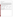## **TECHNOLOGY DESCRIPTION**

The following description of the Mk II with Optode 3830 was provided by the vendor and does not represent verified information.

The Optode 3830 uses a platinum porphyrin complex as a dynamic fluorescence quencher to monitor oxygen in water. The porphyrin complex is embedded in a gas-permeable foil that is exposed to the surrounding water. A black optical isolation coating protects the complex from sunlight and fluorescent particles in the water. This sensing foil is attached to a sapphire window, providing optical access for the measuring system from inside a watertight titanium housing. The foil is excited by modulated blue light, and the phase of a returned red light is measured. By linearizing and temperature compensating with an incorporated temperature sensor, the absolute oxygen concentration can be determined. The diameter of the Optode 3830 is 36 millimeters (mm) (1.42 inches). It is 86 mm (3.39 inches) long and weighs 0.23 kilograms (8.11 ounces). Pricing information is available from the vendor. The range, resolution, and accuracy, as indicated by the vendor, are listed below.

#### **Vendor-Provided Range, Resolution, and Accuracy**

| <b>Parameter</b>     | Range                           | <b>Resolution</b>     | <b>Accuracy</b>                                       |
|----------------------|---------------------------------|-----------------------|-------------------------------------------------------|
| Air saturation       | 0 to $120%$                     | $< 0.4\%$             | ${<}5\%$                                              |
| Oxygen concentration | 0 to 500 $\mu$ Molar ( $\mu$ M) | $<1 \mu M$            | $\langle 8 \mu M \rangle$ or 5%, whichever is greater |
| Temperature          | $-2.7$ to 36.66 $^{\circ}$ C    | $0.1\%$ of range      | $\pm 0.05^{\circ}$ C                                  |
| Turbidity            | 0 to 20 NTU                     | $0.1\%$ of full scale | 2% of full scale                                      |

## **VERIFICATION OF PERFORMANCE**

The table below summarizes the performance of the Mk II with Optode 3830. The two Mk II with Optode 3830s collected data without interruption at 10-minute intervals from October 1, 2003, until January 5, 2004, and 100% of the required data was collected.